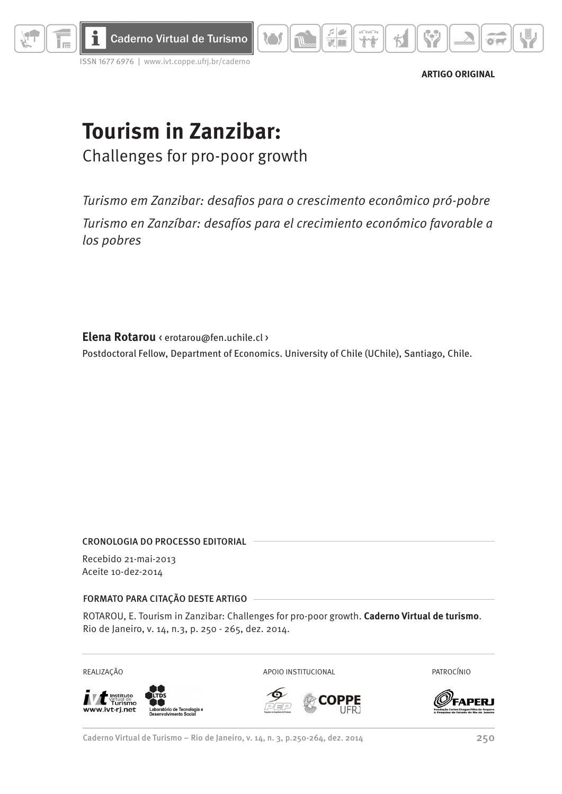

issn 1677 6976 | www.ivt.coppe.ufrj.br/caderno



# **Tourism in Zanzibar:** Challenges for pro-poor growth

*Turismo em Zanzibar: desafios para o crescimento econômico pró-pobre Turismo en Zanzíbar: desafíos para el crecimiento económico favorable a los pobres*

 $\begin{array}{c|c|c|c} \hline \multicolumn{3}{c|}{\textbf{5}} & \multicolumn{3}{c|}{\textbf{6}} \\ \hline \multicolumn{3}{c|}{\textbf{6}} & \multicolumn{3}{c|}{\textbf{6}} \\ \hline \multicolumn{3}{c|}{\textbf{7}} & \multicolumn{3}{c|}{\textbf{8}} \\ \hline \multicolumn{3}{c|}{\textbf{8}} & \multicolumn{3}{c|}{\textbf{9}} \\ \hline \multicolumn{3}{c|}{\textbf{1}} & \multicolumn{3}{c|}{\textbf{1}} \\ \hline \multicolumn{3}{c|}{\textbf{1}} & \mult$ 

**XIDE** 

ገ ነ

**Elena Rotarou** < erotarou@fen.uchile.cl > Postdoctoral Fellow, Department of Economics. University of Chile (UChile), Santiago, Chile.

### Cronologia do processo editorial

Recebido 21-mai-2013 Aceite 10-dez-2014

### Formato para citação deste artigo

ROTAROU, E. Tourism in Zanzibar: Challenges for pro-poor growth. **Caderno Virtual de turismo**. Rio de Janeiro, v. 14, n.3, p. 250 - 265, dez. 2014.

Instituto<br>Virtual de<br>T**urismo** stituto ww.ivt-rj.net

REALIZAÇÃO APOIO INSTITUCIONAL PATROCÍNIO



Caderno Virtual de Turismo – Rio de Janeiro, v. 14, n. 3, p.250-264, dez. 2014 250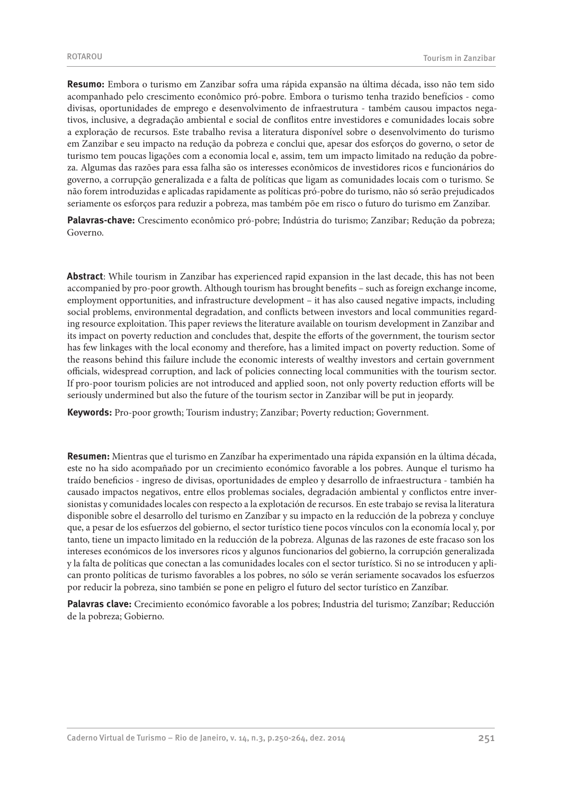**Resumo:** Embora o turismo em Zanzibar sofra uma rápida expansão na última década, isso não tem sido acompanhado pelo crescimento econômico pró-pobre. Embora o turismo tenha trazido benefícios - como divisas, oportunidades de emprego e desenvolvimento de infraestrutura - também causou impactos negativos, inclusive, a degradação ambiental e social de conflitos entre investidores e comunidades locais sobre a exploração de recursos. Este trabalho revisa a literatura disponível sobre o desenvolvimento do turismo em Zanzibar e seu impacto na redução da pobreza e conclui que, apesar dos esforços do governo, o setor de turismo tem poucas ligações com a economia local e, assim, tem um impacto limitado na redução da pobreza. Algumas das razões para essa falha são os interesses econômicos de investidores ricos e funcionários do governo, a corrupção generalizada e a falta de políticas que ligam as comunidades locais com o turismo. Se não forem introduzidas e aplicadas rapidamente as políticas pró-pobre do turismo, não só serão prejudicados seriamente os esforços para reduzir a pobreza, mas também põe em risco o futuro do turismo em Zanzibar.

**Palavras-chave:** Crescimento econômico pró-pobre; Indústria do turismo; Zanzibar; Redução da pobreza; Governo.

**Abstract**: While tourism in Zanzibar has experienced rapid expansion in the last decade, this has not been accompanied by pro-poor growth. Although tourism has brought benefits – such as foreign exchange income, employment opportunities, and infrastructure development – it has also caused negative impacts, including social problems, environmental degradation, and conflicts between investors and local communities regarding resource exploitation. This paper reviews the literature available on tourism development in Zanzibar and its impact on poverty reduction and concludes that, despite the efforts of the government, the tourism sector has few linkages with the local economy and therefore, has a limited impact on poverty reduction. Some of the reasons behind this failure include the economic interests of wealthy investors and certain government officials, widespread corruption, and lack of policies connecting local communities with the tourism sector. If pro-poor tourism policies are not introduced and applied soon, not only poverty reduction efforts will be seriously undermined but also the future of the tourism sector in Zanzibar will be put in jeopardy.

**Keywords:** Pro-poor growth; Tourism industry; Zanzibar; Poverty reduction; Government.

**Resumen:** Mientras que el turismo en Zanzíbar ha experimentado una rápida expansión en la última década, este no ha sido acompañado por un crecimiento económico favorable a los pobres. Aunque el turismo ha traído beneficios - ingreso de divisas, oportunidades de empleo y desarrollo de infraestructura - también ha causado impactos negativos, entre ellos problemas sociales, degradación ambiental y conflictos entre inversionistas y comunidades locales con respecto a la explotación de recursos. En este trabajo se revisa la literatura disponible sobre el desarrollo del turismo en Zanzíbar y su impacto en la reducción de la pobreza y concluye que, a pesar de los esfuerzos del gobierno, el sector turístico tiene pocos vínculos con la economía local y, por tanto, tiene un impacto limitado en la reducción de la pobreza. Algunas de las razones de este fracaso son los intereses económicos de los inversores ricos y algunos funcionarios del gobierno, la corrupción generalizada y la falta de políticas que conectan a las comunidades locales con el sector turístico. Si no se introducen y aplican pronto políticas de turismo favorables a los pobres, no sólo se verán seriamente socavados los esfuerzos por reducir la pobreza, sino también se pone en peligro el futuro del sector turístico en Zanzíbar.

**Palavras clave:** Crecimiento económico favorable a los pobres; Industria del turismo; Zanzíbar; Reducción de la pobreza; Gobierno.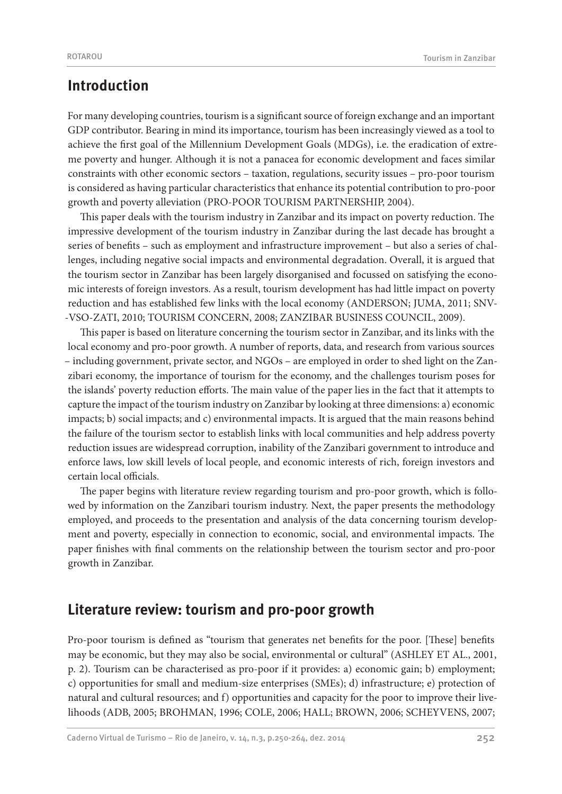# **Introduction**

For many developing countries, tourism is a significant source of foreign exchange and an important GDP contributor. Bearing in mind its importance, tourism has been increasingly viewed as a tool to achieve the first goal of the Millennium Development Goals (MDGs), i.e. the eradication of extreme poverty and hunger. Although it is not a panacea for economic development and faces similar constraints with other economic sectors – taxation, regulations, security issues – pro-poor tourism is considered as having particular characteristics that enhance its potential contribution to pro-poor growth and poverty alleviation (PRO-POOR TOURISM PARTNERSHIP, 2004).

This paper deals with the tourism industry in Zanzibar and its impact on poverty reduction. The impressive development of the tourism industry in Zanzibar during the last decade has brought a series of benefits – such as employment and infrastructure improvement – but also a series of challenges, including negative social impacts and environmental degradation. Overall, it is argued that the tourism sector in Zanzibar has been largely disorganised and focussed on satisfying the economic interests of foreign investors. As a result, tourism development has had little impact on poverty reduction and has established few links with the local economy (ANDERSON; JUMA, 2011; SNV- -VSO-ZATI, 2010; TOURISM CONCERN, 2008; ZANZIBAR BUSINESS COUNCIL, 2009).

This paper is based on literature concerning the tourism sector in Zanzibar, and its links with the local economy and pro-poor growth. A number of reports, data, and research from various sources – including government, private sector, and NGOs – are employed in order to shed light on the Zanzibari economy, the importance of tourism for the economy, and the challenges tourism poses for the islands' poverty reduction efforts. The main value of the paper lies in the fact that it attempts to capture the impact of the tourism industry on Zanzibar by looking at three dimensions: a) economic impacts; b) social impacts; and c) environmental impacts. It is argued that the main reasons behind the failure of the tourism sector to establish links with local communities and help address poverty reduction issues are widespread corruption, inability of the Zanzibari government to introduce and enforce laws, low skill levels of local people, and economic interests of rich, foreign investors and certain local officials.

The paper begins with literature review regarding tourism and pro-poor growth, which is followed by information on the Zanzibari tourism industry. Next, the paper presents the methodology employed, and proceeds to the presentation and analysis of the data concerning tourism development and poverty, especially in connection to economic, social, and environmental impacts. The paper finishes with final comments on the relationship between the tourism sector and pro-poor growth in Zanzibar.

# **Literature review: tourism and pro-poor growth**

Pro-poor tourism is defined as "tourism that generates net benefits for the poor. [These] benefits may be economic, but they may also be social, environmental or cultural" (ASHLEY ET AL., 2001, p. 2). Tourism can be characterised as pro-poor if it provides: a) economic gain; b) employment; c) opportunities for small and medium-size enterprises (SMEs); d) infrastructure; e) protection of natural and cultural resources; and f) opportunities and capacity for the poor to improve their livelihoods (ADB, 2005; BROHMAN, 1996; COLE, 2006; HALL; BROWN, 2006; SCHEYVENS, 2007;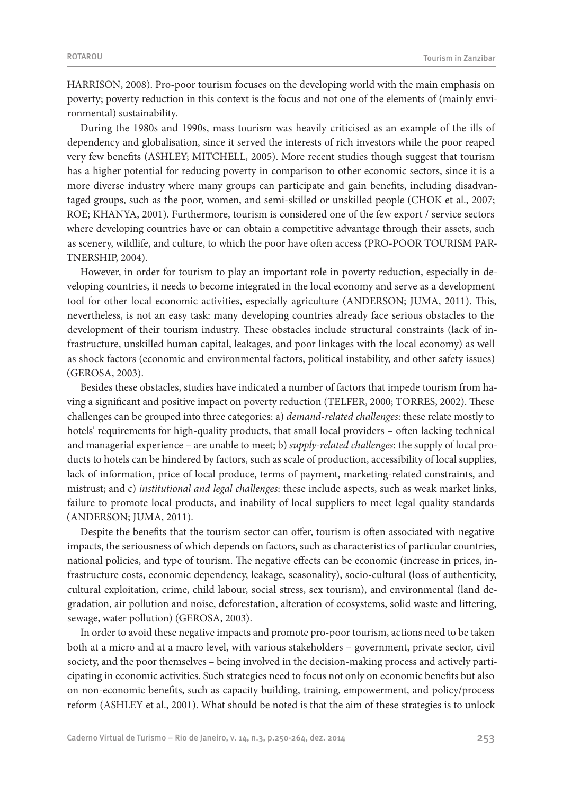HARRISON, 2008). Pro-poor tourism focuses on the developing world with the main emphasis on poverty; poverty reduction in this context is the focus and not one of the elements of (mainly environmental) sustainability.

During the 1980s and 1990s, mass tourism was heavily criticised as an example of the ills of dependency and globalisation, since it served the interests of rich investors while the poor reaped very few benefits (ASHLEY; MITCHELL, 2005). More recent studies though suggest that tourism has a higher potential for reducing poverty in comparison to other economic sectors, since it is a more diverse industry where many groups can participate and gain benefits, including disadvantaged groups, such as the poor, women, and semi-skilled or unskilled people (CHOK et al., 2007; ROE; KHANYA, 2001). Furthermore, tourism is considered one of the few export / service sectors where developing countries have or can obtain a competitive advantage through their assets, such as scenery, wildlife, and culture, to which the poor have often access (PRO-POOR TOURISM PAR-TNERSHIP, 2004).

However, in order for tourism to play an important role in poverty reduction, especially in developing countries, it needs to become integrated in the local economy and serve as a development tool for other local economic activities, especially agriculture (ANDERSON; JUMA, 2011). This, nevertheless, is not an easy task: many developing countries already face serious obstacles to the development of their tourism industry. These obstacles include structural constraints (lack of infrastructure, unskilled human capital, leakages, and poor linkages with the local economy) as well as shock factors (economic and environmental factors, political instability, and other safety issues) (GEROSA, 2003).

Besides these obstacles, studies have indicated a number of factors that impede tourism from having a significant and positive impact on poverty reduction (TELFER, 2000; TORRES, 2002). These challenges can be grouped into three categories: a) *demand-related challenges*: these relate mostly to hotels' requirements for high-quality products, that small local providers – often lacking technical and managerial experience – are unable to meet; b) *supply-related challenges*: the supply of local products to hotels can be hindered by factors, such as scale of production, accessibility of local supplies, lack of information, price of local produce, terms of payment, marketing-related constraints, and mistrust; and c) *institutional and legal challenges*: these include aspects, such as weak market links, failure to promote local products, and inability of local suppliers to meet legal quality standards (ANDERSON; JUMA, 2011).

Despite the benefits that the tourism sector can offer, tourism is often associated with negative impacts, the seriousness of which depends on factors, such as characteristics of particular countries, national policies, and type of tourism. The negative effects can be economic (increase in prices, infrastructure costs, economic dependency, leakage, seasonality), socio-cultural (loss of authenticity, cultural exploitation, crime, child labour, social stress, sex tourism), and environmental (land degradation, air pollution and noise, deforestation, alteration of ecosystems, solid waste and littering, sewage, water pollution) (GEROSA, 2003).

In order to avoid these negative impacts and promote pro-poor tourism, actions need to be taken both at a micro and at a macro level, with various stakeholders – government, private sector, civil society, and the poor themselves – being involved in the decision-making process and actively participating in economic activities. Such strategies need to focus not only on economic benefits but also on non-economic benefits, such as capacity building, training, empowerment, and policy/process reform (ASHLEY et al., 2001). What should be noted is that the aim of these strategies is to unlock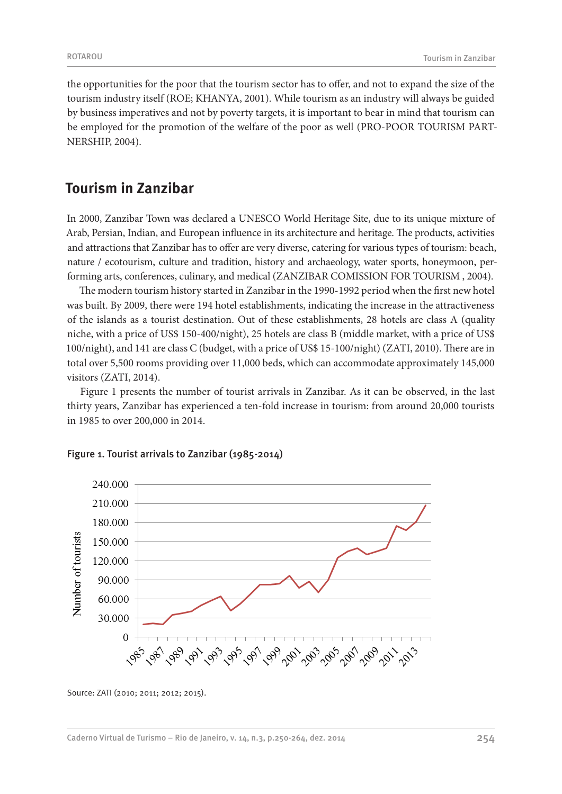the opportunities for the poor that the tourism sector has to offer, and not to expand the size of the tourism industry itself (ROE; KHANYA, 2001). While tourism as an industry will always be guided by business imperatives and not by poverty targets, it is important to bear in mind that tourism can be employed for the promotion of the welfare of the poor as well (PRO-POOR TOURISM PART-NERSHIP, 2004).

# **Tourism in Zanzibar**

In 2000, Zanzibar Town was declared a UNESCO World Heritage Site, due to its unique mixture of Arab, Persian, Indian, and European influence in its architecture and heritage. The products, activities and attractions that Zanzibar has to offer are very diverse, catering for various types of tourism: beach, nature / ecotourism, culture and tradition, history and archaeology, water sports, honeymoon, performing arts, conferences, culinary, and medical (ZANZIBAR COMISSION FOR TOURISM , 2004).

The modern tourism history started in Zanzibar in the 1990-1992 period when the first new hotel was built. By 2009, there were 194 hotel establishments, indicating the increase in the attractiveness of the islands as a tourist destination. Out of these establishments, 28 hotels are class A (quality niche, with a price of US\$ 150-400/night), 25 hotels are class B (middle market, with a price of US\$ 100/night), and 141 are class C (budget, with a price of US\$ 15-100/night) (ZATI, 2010). There are in total over 5,500 rooms providing over 11,000 beds, which can accommodate approximately 145,000 visitors (ZATI, 2014).

Figure 1 presents the number of tourist arrivals in Zanzibar. As it can be observed, in the last thirty years, Zanzibar has experienced a ten-fold increase in tourism: from around 20,000 tourists in 1985 to over 200,000 in 2014.



#### Figure 1. Tourist arrivals to Zanzibar (1985-2014)

Source: ZATI (2010; 2011; 2012; 2015).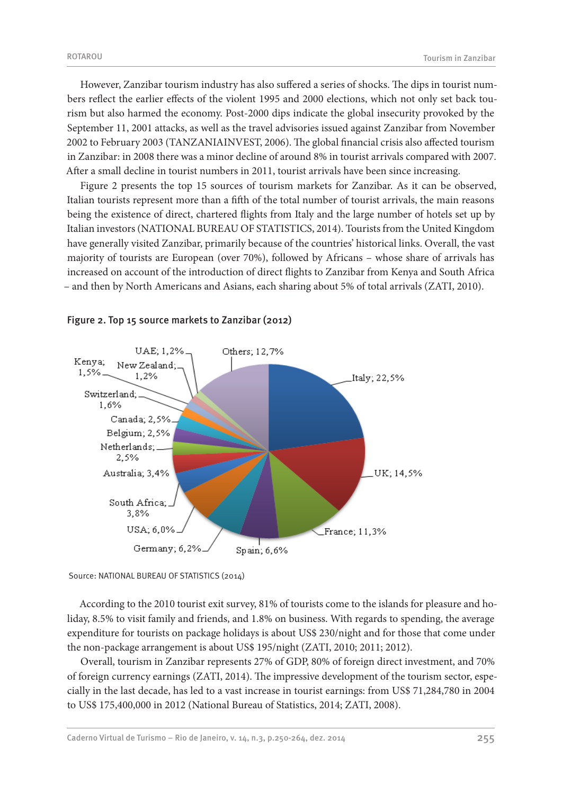However, Zanzibar tourism industry has also suffered a series of shocks. The dips in tourist numbers reflect the earlier effects of the violent 1995 and 2000 elections, which not only set back tourism but also harmed the economy. Post-2000 dips indicate the global insecurity provoked by the September 11, 2001 attacks, as well as the travel advisories issued against Zanzibar from November 2002 to February 2003 (TANZANIAINVEST, 2006). The global financial crisis also affected tourism in Zanzibar: in 2008 there was a minor decline of around 8% in tourist arrivals compared with 2007. After a small decline in tourist numbers in 2011, tourist arrivals have been since increasing.

Figure 2 presents the top 15 sources of tourism markets for Zanzibar. As it can be observed, Italian tourists represent more than a fifth of the total number of tourist arrivals, the main reasons being the existence of direct, chartered flights from Italy and the large number of hotels set up by Italian investors (NATIONAL BUREAU OF STATISTICS, 2014). Tourists from the United Kingdom have generally visited Zanzibar, primarily because of the countries' historical links. Overall, the vast majority of tourists are European (over 70%), followed by Africans – whose share of arrivals has increased on account of the introduction of direct flights to Zanzibar from Kenya and South Africa – and then by North Americans and Asians, each sharing about 5% of total arrivals (ZATI, 2010).



### Figure 2. Top 15 source markets to Zanzibar (2012)

Source: NATIONAL BUREAU OF STATISTICS (2014)

According to the 2010 tourist exit survey, 81% of tourists come to the islands for pleasure and holiday, 8.5% to visit family and friends, and 1.8% on business. With regards to spending, the average expenditure for tourists on package holidays is about US\$ 230/night and for those that come under the non-package arrangement is about US\$ 195/night (ZATI, 2010; 2011; 2012).

Overall, tourism in Zanzibar represents 27% of GDP, 80% of foreign direct investment, and 70% of foreign currency earnings (ZATI, 2014). The impressive development of the tourism sector, especially in the last decade, has led to a vast increase in tourist earnings: from US\$ 71,284,780 in 2004 to US\$ 175,400,000 in 2012 (National Bureau of Statistics, 2014; ZATI, 2008).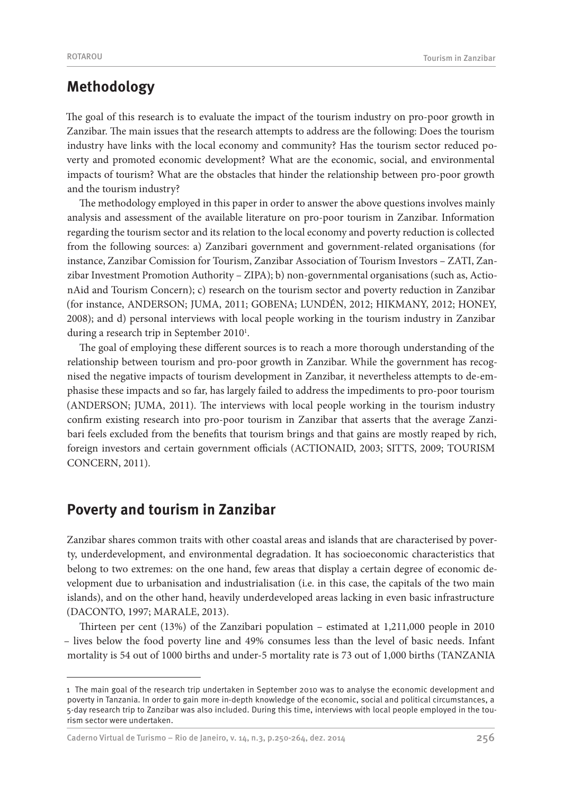# **Methodology**

The goal of this research is to evaluate the impact of the tourism industry on pro-poor growth in Zanzibar. The main issues that the research attempts to address are the following: Does the tourism industry have links with the local economy and community? Has the tourism sector reduced poverty and promoted economic development? What are the economic, social, and environmental impacts of tourism? What are the obstacles that hinder the relationship between pro-poor growth and the tourism industry?

The methodology employed in this paper in order to answer the above questions involves mainly analysis and assessment of the available literature on pro-poor tourism in Zanzibar. Information regarding the tourism sector and its relation to the local economy and poverty reduction is collected from the following sources: a) Zanzibari government and government-related organisations (for instance, Zanzibar Comission for Tourism, Zanzibar Association of Tourism Investors – ZATI, Zanzibar Investment Promotion Authority – ZIPA); b) non-governmental organisations (such as, ActionAid and Tourism Concern); c) research on the tourism sector and poverty reduction in Zanzibar (for instance, ANDERSON; JUMA, 2011; GOBENA; LUNDÉN, 2012; HIKMANY, 2012; HONEY, 2008); and d) personal interviews with local people working in the tourism industry in Zanzibar during a research trip in September 2010<sup>1</sup>.

The goal of employing these different sources is to reach a more thorough understanding of the relationship between tourism and pro-poor growth in Zanzibar. While the government has recognised the negative impacts of tourism development in Zanzibar, it nevertheless attempts to de-emphasise these impacts and so far, has largely failed to address the impediments to pro-poor tourism (ANDERSON; JUMA, 2011). The interviews with local people working in the tourism industry confirm existing research into pro-poor tourism in Zanzibar that asserts that the average Zanzibari feels excluded from the benefits that tourism brings and that gains are mostly reaped by rich, foreign investors and certain government officials (ACTIONAID, 2003; SITTS, 2009; TOURISM CONCERN, 2011).

# **Poverty and tourism in Zanzibar**

Zanzibar shares common traits with other coastal areas and islands that are characterised by poverty, underdevelopment, and environmental degradation. It has socioeconomic characteristics that belong to two extremes: on the one hand, few areas that display a certain degree of economic development due to urbanisation and industrialisation (i.e. in this case, the capitals of the two main islands), and on the other hand, heavily underdeveloped areas lacking in even basic infrastructure (DACONTO, 1997; MARALE, 2013).

Thirteen per cent (13%) of the Zanzibari population – estimated at 1,211,000 people in 2010 – lives below the food poverty line and 49% consumes less than the level of basic needs. Infant mortality is 54 out of 1000 births and under-5 mortality rate is 73 out of 1,000 births (TANZANIA

Caderno Virtual de Turismo – Rio de Janeiro, v. 14, n.3, p.250-264, dez. 2014 256

<sup>1</sup> The main goal of the research trip undertaken in September 2010 was to analyse the economic development and poverty in Tanzania. In order to gain more in-depth knowledge of the economic, social and political circumstances, a 5-day research trip to Zanzibar was also included. During this time, interviews with local people employed in the tourism sector were undertaken.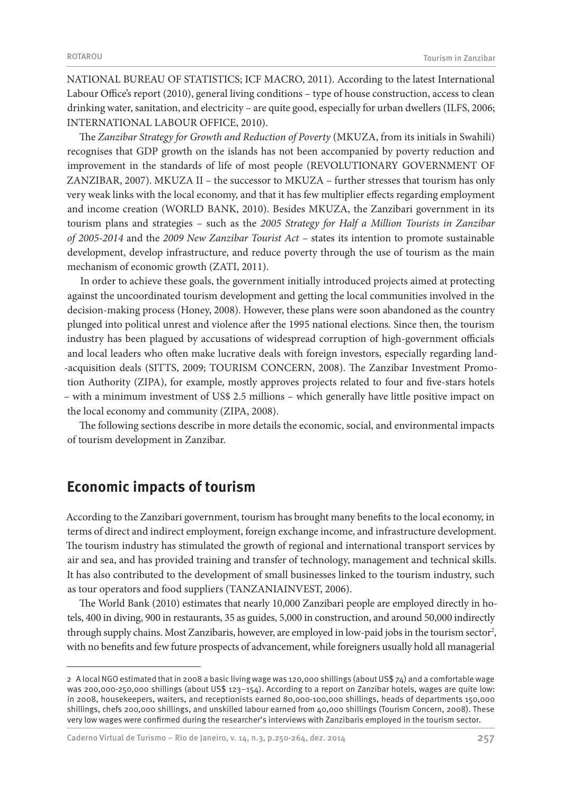NATIONAL BUREAU OF STATISTICS; ICF MACRO, 2011). According to the latest International Labour Office's report (2010), general living conditions – type of house construction, access to clean drinking water, sanitation, and electricity – are quite good, especially for urban dwellers (ILFS, 2006; INTERNATIONAL LABOUR OFFICE, 2010).

The *Zanzibar Strategy for Growth and Reduction of Poverty* (MKUZA, from its initials in Swahili) recognises that GDP growth on the islands has not been accompanied by poverty reduction and improvement in the standards of life of most people (REVOLUTIONARY GOVERNMENT OF ZANZIBAR, 2007). MKUZA II – the successor to MKUZA – further stresses that tourism has only very weak links with the local economy, and that it has few multiplier effects regarding employment and income creation (WORLD BANK, 2010). Besides MKUZA, the Zanzibari government in its tourism plans and strategies – such as the *2005 Strategy for Half a Million Tourists in Zanzibar of 2005-2014* and the *2009 New Zanzibar Tourist Act* – states its intention to promote sustainable development, develop infrastructure, and reduce poverty through the use of tourism as the main mechanism of economic growth (ZATI, 2011).

In order to achieve these goals, the government initially introduced projects aimed at protecting against the uncoordinated tourism development and getting the local communities involved in the decision-making process (Honey, 2008). However, these plans were soon abandoned as the country plunged into political unrest and violence after the 1995 national elections. Since then, the tourism industry has been plagued by accusations of widespread corruption of high-government officials and local leaders who often make lucrative deals with foreign investors, especially regarding land- -acquisition deals (SITTS, 2009; TOURISM CONCERN, 2008). The Zanzibar Investment Promotion Authority (ZIPA), for example, mostly approves projects related to four and five-stars hotels – with a minimum investment of US\$ 2.5 millions – which generally have little positive impact on the local economy and community (ZIPA, 2008).

The following sections describe in more details the economic, social, and environmental impacts of tourism development in Zanzibar.

## **Economic impacts of tourism**

According to the Zanzibari government, tourism has brought many benefits to the local economy, in terms of direct and indirect employment, foreign exchange income, and infrastructure development. The tourism industry has stimulated the growth of regional and international transport services by air and sea, and has provided training and transfer of technology, management and technical skills. It has also contributed to the development of small businesses linked to the tourism industry, such as tour operators and food suppliers (TANZANIAINVEST, 2006).

The World Bank (2010) estimates that nearly 10,000 Zanzibari people are employed directly in hotels, 400 in diving, 900 in restaurants, 35 as guides, 5,000 in construction, and around 50,000 indirectly through supply chains. Most Zanzibaris, however, are employed in low-paid jobs in the tourism sector<sup>2</sup>, with no benefits and few future prospects of advancement, while foreigners usually hold all managerial

<sup>2</sup> A local NGO estimated that in 2008 a basic living wage was 120,000 shillings (about US\$ 74) and a comfortable wage was 200,000-250,000 shillings (about US\$ 123-154). According to a report on Zanzibar hotels, wages are quite low: in 2008, housekeepers, waiters, and receptionists earned 80,000-100,000 shillings, heads of departments 150,000 shillings, chefs 200,000 shillings, and unskilled labour earned from 40,000 shillings (Tourism Concern, 2008). These very low wages were confirmed during the researcher's interviews with Zanzibaris employed in the tourism sector.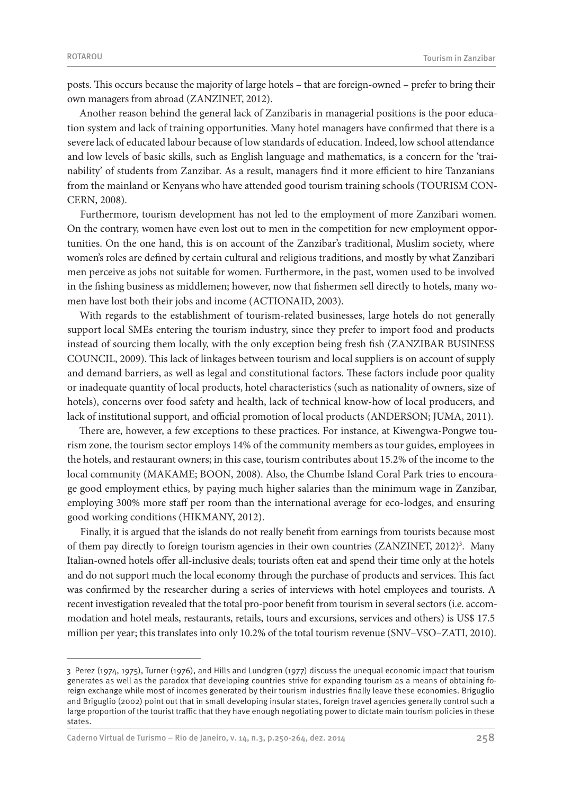posts. This occurs because the majority of large hotels – that are foreign-owned – prefer to bring their own managers from abroad (ZANZINET, 2012).

Another reason behind the general lack of Zanzibaris in managerial positions is the poor education system and lack of training opportunities. Many hotel managers have confirmed that there is a severe lack of educated labour because of low standards of education. Indeed, low school attendance and low levels of basic skills, such as English language and mathematics, is a concern for the 'trainability' of students from Zanzibar. As a result, managers find it more efficient to hire Tanzanians from the mainland or Kenyans who have attended good tourism training schools (TOURISM CON-CERN, 2008).

Furthermore, tourism development has not led to the employment of more Zanzibari women. On the contrary, women have even lost out to men in the competition for new employment opportunities. On the one hand, this is on account of the Zanzibar's traditional, Muslim society, where women's roles are defined by certain cultural and religious traditions, and mostly by what Zanzibari men perceive as jobs not suitable for women. Furthermore, in the past, women used to be involved in the fishing business as middlemen; however, now that fishermen sell directly to hotels, many women have lost both their jobs and income (ACTIONAID, 2003).

With regards to the establishment of tourism-related businesses, large hotels do not generally support local SMEs entering the tourism industry, since they prefer to import food and products instead of sourcing them locally, with the only exception being fresh fish (ZANZIBAR BUSINESS COUNCIL, 2009). This lack of linkages between tourism and local suppliers is on account of supply and demand barriers, as well as legal and constitutional factors. These factors include poor quality or inadequate quantity of local products, hotel characteristics (such as nationality of owners, size of hotels), concerns over food safety and health, lack of technical know-how of local producers, and lack of institutional support, and official promotion of local products (ANDERSON; JUMA, 2011).

There are, however, a few exceptions to these practices. For instance, at Kiwengwa-Pongwe tourism zone, the tourism sector employs 14% of the community members as tour guides, employees in the hotels, and restaurant owners; in this case, tourism contributes about 15.2% of the income to the local community (MAKAME; BOON, 2008). Also, the Chumbe Island Coral Park tries to encourage good employment ethics, by paying much higher salaries than the minimum wage in Zanzibar, employing 300% more staff per room than the international average for eco-lodges, and ensuring good working conditions (HIKMANY, 2012).

Finally, it is argued that the islands do not really benefit from earnings from tourists because most of them pay directly to foreign tourism agencies in their own countries (ZANZINET, 2012)<sup>3</sup>. Many Italian-owned hotels offer all-inclusive deals; tourists often eat and spend their time only at the hotels and do not support much the local economy through the purchase of products and services. This fact was confirmed by the researcher during a series of interviews with hotel employees and tourists. A recent investigation revealed that the total pro-poor benefit from tourism in several sectors (i.e. accommodation and hotel meals, restaurants, retails, tours and excursions, services and others) is US\$ 17.5 million per year; this translates into only 10.2% of the total tourism revenue (SNV–VSO–ZATI, 2010).

Caderno Virtual de Turismo – Rio de Janeiro, v. 14, n.3, p.250-264, dez. 2014 258

<sup>3</sup> Perez (1974, 1975), Turner (1976), and Hills and Lundgren (1977) discuss the unequal economic impact that tourism generates as well as the paradox that developing countries strive for expanding tourism as a means of obtaining foreign exchange while most of incomes generated by their tourism industries finally leave these economies. Briguglio and Briguglio (2002) point out that in small developing insular states, foreign travel agencies generally control such a large proportion of the tourist traffic that they have enough negotiating power to dictate main tourism policies in these states.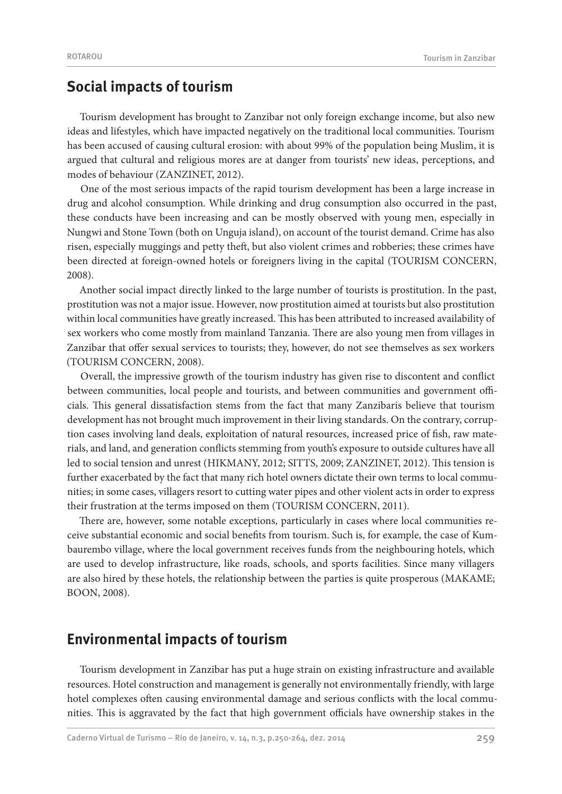# **Social impacts of tourism**

Tourism development has brought to Zanzibar not only foreign exchange income, but also new ideas and lifestyles, which have impacted negatively on the traditional local communities. Tourism has been accused of causing cultural erosion: with about 99% of the population being Muslim, it is argued that cultural and religious mores are at danger from tourists' new ideas, perceptions, and modes of behaviour (ZANZINET, 2012).

One of the most serious impacts of the rapid tourism development has been a large increase in drug and alcohol consumption. While drinking and drug consumption also occurred in the past, these conducts have been increasing and can be mostly observed with young men, especially in Nungwi and Stone Town (both on Unguja island), on account of the tourist demand. Crime has also risen, especially muggings and petty theft, but also violent crimes and robberies; these crimes have been directed at foreign-owned hotels or foreigners living in the capital (TOURISM CONCERN, 2008).

Another social impact directly linked to the large number of tourists is prostitution. In the past, prostitution was not a major issue. However, now prostitution aimed at tourists but also prostitution within local communities have greatly increased. This has been attributed to increased availability of sex workers who come mostly from mainland Tanzania. There are also young men from villages in Zanzibar that offer sexual services to tourists; they, however, do not see themselves as sex workers (TOURISM CONCERN, 2008).

Overall, the impressive growth of the tourism industry has given rise to discontent and conflict between communities, local people and tourists, and between communities and government officials. This general dissatisfaction stems from the fact that many Zanzibaris believe that tourism development has not brought much improvement in their living standards. On the contrary, corruption cases involving land deals, exploitation of natural resources, increased price of fish, raw materials, and land, and generation conflicts stemming from youth's exposure to outside cultures have all led to social tension and unrest (HIKMANY, 2012; SITTS, 2009; ZANZINET, 2012). This tension is further exacerbated by the fact that many rich hotel owners dictate their own terms to local communities; in some cases, villagers resort to cutting water pipes and other violent acts in order to express their frustration at the terms imposed on them (TOURISM CONCERN, 2011).

There are, however, some notable exceptions, particularly in cases where local communities receive substantial economic and social benefits from tourism. Such is, for example, the case of Kumbaurembo village, where the local government receives funds from the neighbouring hotels, which are used to develop infrastructure, like roads, schools, and sports facilities. Since many villagers are also hired by these hotels, the relationship between the parties is quite prosperous (MAKAME; BOON, 2008).

# **Environmental impacts of tourism**

Tourism development in Zanzibar has put a huge strain on existing infrastructure and available resources. Hotel construction and management is generally not environmentally friendly, with large hotel complexes often causing environmental damage and serious conflicts with the local communities. This is aggravated by the fact that high government officials have ownership stakes in the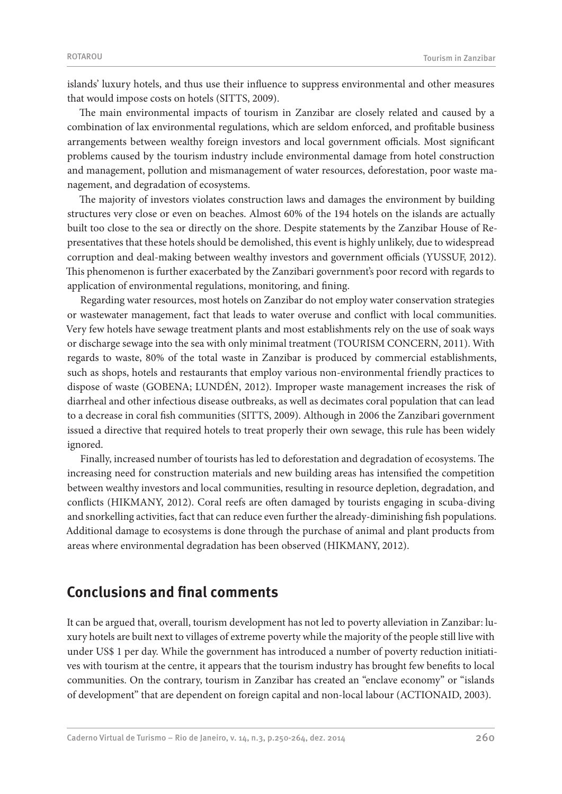islands' luxury hotels, and thus use their influence to suppress environmental and other measures that would impose costs on hotels (SITTS, 2009).

The main environmental impacts of tourism in Zanzibar are closely related and caused by a combination of lax environmental regulations, which are seldom enforced, and profitable business arrangements between wealthy foreign investors and local government officials. Most significant problems caused by the tourism industry include environmental damage from hotel construction and management, pollution and mismanagement of water resources, deforestation, poor waste management, and degradation of ecosystems.

The majority of investors violates construction laws and damages the environment by building structures very close or even on beaches. Almost 60% of the 194 hotels on the islands are actually built too close to the sea or directly on the shore. Despite statements by the Zanzibar House of Representatives that these hotels should be demolished, this event is highly unlikely, due to widespread corruption and deal-making between wealthy investors and government officials (YUSSUF, 2012). This phenomenon is further exacerbated by the Zanzibari government's poor record with regards to application of environmental regulations, monitoring, and fining.

Regarding water resources, most hotels on Zanzibar do not employ water conservation strategies or wastewater management, fact that leads to water overuse and conflict with local communities. Very few hotels have sewage treatment plants and most establishments rely on the use of soak ways or discharge sewage into the sea with only minimal treatment (TOURISM CONCERN, 2011). With regards to waste, 80% of the total waste in Zanzibar is produced by commercial establishments, such as shops, hotels and restaurants that employ various non-environmental friendly practices to dispose of waste (GOBENA; LUNDÉN, 2012). Improper waste management increases the risk of diarrheal and other infectious disease outbreaks, as well as decimates coral population that can lead to a decrease in coral fish communities (SITTS, 2009). Although in 2006 the Zanzibari government issued a directive that required hotels to treat properly their own sewage, this rule has been widely ignored.

Finally, increased number of tourists has led to deforestation and degradation of ecosystems. The increasing need for construction materials and new building areas has intensified the competition between wealthy investors and local communities, resulting in resource depletion, degradation, and conflicts (HIKMANY, 2012). Coral reefs are often damaged by tourists engaging in scuba-diving and snorkelling activities, fact that can reduce even further the already-diminishing fish populations. Additional damage to ecosystems is done through the purchase of animal and plant products from areas where environmental degradation has been observed (HIKMANY, 2012).

# **Conclusions and final comments**

It can be argued that, overall, tourism development has not led to poverty alleviation in Zanzibar: luxury hotels are built next to villages of extreme poverty while the majority of the people still live with under US\$ 1 per day. While the government has introduced a number of poverty reduction initiatives with tourism at the centre, it appears that the tourism industry has brought few benefits to local communities. On the contrary, tourism in Zanzibar has created an "enclave economy" or "islands of development" that are dependent on foreign capital and non-local labour (ACTIONAID, 2003).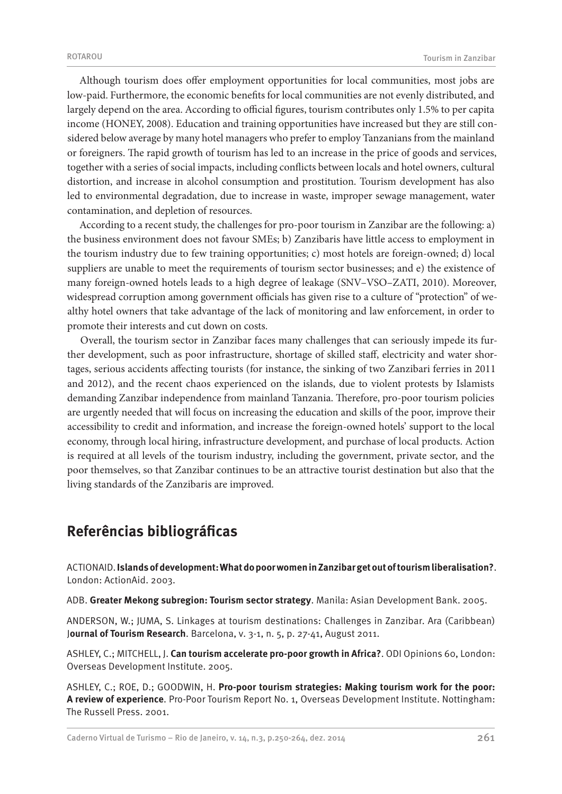Although tourism does offer employment opportunities for local communities, most jobs are low-paid. Furthermore, the economic benefits for local communities are not evenly distributed, and largely depend on the area. According to official figures, tourism contributes only 1.5% to per capita income (HONEY, 2008). Education and training opportunities have increased but they are still considered below average by many hotel managers who prefer to employ Tanzanians from the mainland or foreigners. The rapid growth of tourism has led to an increase in the price of goods and services, together with a series of social impacts, including conflicts between locals and hotel owners, cultural distortion, and increase in alcohol consumption and prostitution. Tourism development has also led to environmental degradation, due to increase in waste, improper sewage management, water contamination, and depletion of resources.

According to a recent study, the challenges for pro-poor tourism in Zanzibar are the following: a) the business environment does not favour SMEs; b) Zanzibaris have little access to employment in the tourism industry due to few training opportunities; c) most hotels are foreign-owned; d) local suppliers are unable to meet the requirements of tourism sector businesses; and e) the existence of many foreign-owned hotels leads to a high degree of leakage (SNV–VSO–ZATI, 2010). Moreover, widespread corruption among government officials has given rise to a culture of "protection" of wealthy hotel owners that take advantage of the lack of monitoring and law enforcement, in order to promote their interests and cut down on costs.

Overall, the tourism sector in Zanzibar faces many challenges that can seriously impede its further development, such as poor infrastructure, shortage of skilled staff, electricity and water shortages, serious accidents affecting tourists (for instance, the sinking of two Zanzibari ferries in 2011 and 2012), and the recent chaos experienced on the islands, due to violent protests by Islamists demanding Zanzibar independence from mainland Tanzania. Therefore, pro-poor tourism policies are urgently needed that will focus on increasing the education and skills of the poor, improve their accessibility to credit and information, and increase the foreign-owned hotels' support to the local economy, through local hiring, infrastructure development, and purchase of local products. Action is required at all levels of the tourism industry, including the government, private sector, and the poor themselves, so that Zanzibar continues to be an attractive tourist destination but also that the living standards of the Zanzibaris are improved.

# **Referências bibliográficas**

ACTIONAID. **Islands of development: What do poor women in Zanzibar get out of tourism liberalisation?**. London: ActionAid. 2003.

ADB. **Greater Mekong subregion: Tourism sector strategy**. Manila: Asian Development Bank. 2005.

ANDERSON, W.; JUMA, S. Linkages at tourism destinations: Challenges in Zanzibar. Ara (Caribbean) J**ournal of Tourism Research**. Barcelona, v. 3-1, n. 5, p. 27-41, August 2011.

ASHLEY, C.; MITCHELL, J. **Can tourism accelerate pro-poor growth in Africa?**. ODI Opinions 60, London: Overseas Development Institute. 2005.

ASHLEY, C.; ROE, D.; GOODWIN, H. **Pro-poor tourism strategies: Making tourism work for the poor: A review of experience**. Pro-Poor Tourism Report No. 1, Overseas Development Institute. Nottingham: The Russell Press. 2001.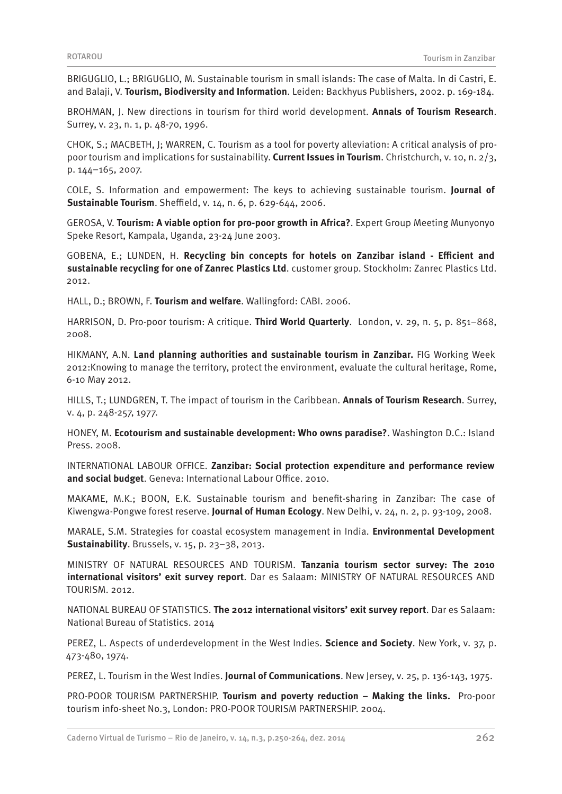BRIGUGLIO, L.; BRIGUGLIO, M. Sustainable tourism in small islands: The case of Malta. In di Castri, E. and Balaji, V. **Tourism, Biodiversity and Information**. Leiden: Backhyus Publishers, 2002. p. 169-184.

BROHMAN, J. New directions in tourism for third world development. **Annals of Tourism Research**. Surrey, v. 23, n. 1, p. 48-70, 1996.

CHOK, S.; MACBETH, J; WARREN, C. Tourism as a tool for poverty alleviation: A critical analysis of propoor tourism and implications for sustainability. **Current Issues in Tourism**. Christchurch, v. 10, n. 2/3, p. 144–165, 2007.

COLE, S. Information and empowerment: The keys to achieving sustainable tourism. **Journal of Sustainable Tourism**. Sheffield, v. 14, n. 6, p. 629-644, 2006.

GEROSA, V. **Tourism: A viable option for pro-poor growth in Africa?**. Expert Group Meeting Munyonyo Speke Resort, Kampala, Uganda, 23-24 June 2003.

GOBENA, E.; LUNDEN, H. **Recycling bin concepts for hotels on Zanzibar island - Efficient and sustainable recycling for one of Zanrec Plastics Ltd**. customer group. Stockholm: Zanrec Plastics Ltd. 2012.

HALL, D.; BROWN, F. **Tourism and welfare**. Wallingford: CABI. 2006.

HARRISON, D. Pro-poor tourism: A critique. **Third World Quarterly**. London, v. 29, n. 5, p. 851–868, 2008.

HIKMANY, A.N. **Land planning authorities and sustainable tourism in Zanzibar.** FIG Working Week 2012:Knowing to manage the territory, protect the environment, evaluate the cultural heritage, Rome, 6-10 May 2012.

HILLS, T.; LUNDGREN, T. The impact of tourism in the Caribbean. **Annals of Tourism Research**. Surrey, v. 4, p. 248-257, 1977.

HONEY, M. **Ecotourism and sustainable development: Who owns paradise?**. Washington D.C.: Island Press. 2008.

INTERNATIONAL LABOUR OFFICE. **Zanzibar: Social protection expenditure and performance review and social budget**. Geneva: International Labour Office. 2010.

MAKAME, M.K.; BOON, E.K. Sustainable tourism and benefit-sharing in Zanzibar: The case of Kiwengwa-Pongwe forest reserve. **Journal of Human Ecology**. New Delhi, v. 24, n. 2, p. 93-109, 2008.

MARALE, S.M. Strategies for coastal ecosystem management in India. **Environmental Development Sustainability**. Brussels, v. 15, p. 23–38, 2013.

MINISTRY OF NATURAL RESOURCES AND TOURISM. **Tanzania tourism sector survey: The 2010 international visitors' exit survey report**. Dar es Salaam: MINISTRY OF NATURAL RESOURCES AND TOURISM. 2012.

NATIONAL BUREAU OF STATISTICS. **The 2012 international visitors' exit survey report**. Dar es Salaam: National Bureau of Statistics. 2014

PEREZ, L. Aspects of underdevelopment in the West Indies. **Science and Society**. New York, v. 37, p. 473-480, 1974.

PEREZ, L. Tourism in the West Indies. **Journal of Communications**. New Jersey, v. 25, p. 136-143, 1975.

PRO-POOR TOURISM PARTNERSHIP. **Tourism and poverty reduction – Making the links.** Pro-poor tourism info-sheet No.3, London: PRO-POOR TOURISM PARTNERSHIP. 2004.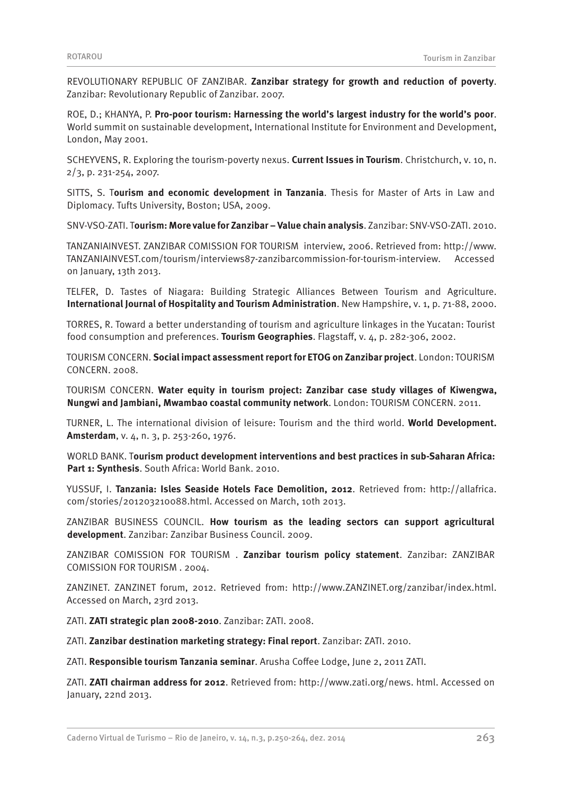REVOLUTIONARY REPUBLIC OF ZANZIBAR. **Zanzibar strategy for growth and reduction of poverty**. Zanzibar: Revolutionary Republic of Zanzibar. 2007.

ROE, D.; KHANYA, P. **Pro-poor tourism: Harnessing the world's largest industry for the world's poor**. World summit on sustainable development, International Institute for Environment and Development, London, May 2001.

SCHEYVENS, R. Exploring the tourism-poverty nexus. **Current Issues in Tourism**. Christchurch, v. 10, n. 2/3, p. 231-254, 2007.

SITTS, S. T**ourism and economic development in Tanzania**. Thesis for Master of Arts in Law and Diplomacy. Tufts University, Boston; USA, 2009.

SNV-VSO-ZATI. T**ourism: More value for Zanzibar – Value chain analysis**. Zanzibar: SNV-VSO-ZATI. 2010.

TANZANIAINVEST. ZANZIBAR COMISSION FOR TOURISM interview, 2006. Retrieved from: http://www. TANZANIAINVEST.com/tourism/interviews87-zanzibarcommission-for-tourism-interview. Accessed on January, 13th 2013.

TELFER, D. Tastes of Niagara: Building Strategic Alliances Between Tourism and Agriculture. **International Journal of Hospitality and Tourism Administration**. New Hampshire, v. 1, p. 71-88, 2000.

TORRES, R. Toward a better understanding of tourism and agriculture linkages in the Yucatan: Tourist food consumption and preferences. **Tourism Geographies**. Flagstaff, v. 4, p. 282-306, 2002.

TOURISM CONCERN. **Social impact assessment report for ETOG on Zanzibar project**. London: TOURISM CONCERN. 2008.

TOURISM CONCERN. **Water equity in tourism project: Zanzibar case study villages of Kiwengwa, Nungwi and Jambiani, Mwambao coastal community network**. London: TOURISM CONCERN. 2011.

TURNER, L. The international division of leisure: Tourism and the third world. **World Development. Amsterdam**, v. 4, n. 3, p. 253-260, 1976.

WORLD BANK. T**ourism product development interventions and best practices in sub-Saharan Africa: Part 1: Synthesis**. South Africa: World Bank. 2010.

YUSSUF, I. **Tanzania: Isles Seaside Hotels Face Demolition, 2012**. Retrieved from: http://allafrica. com/stories/201203210088.html. Accessed on March, 10th 2013.

ZANZIBAR BUSINESS COUNCIL. **How tourism as the leading sectors can support agricultural development**. Zanzibar: Zanzibar Business Council. 2009.

ZANZIBAR COMISSION FOR TOURISM . **Zanzibar tourism policy statement**. Zanzibar: ZANZIBAR COMISSION FOR TOURISM . 2004.

ZANZINET. ZANZINET forum, 2012. Retrieved from: http://www.ZANZINET.org/zanzibar/index.html. Accessed on March, 23rd 2013.

ZATI. **ZATI strategic plan 2008-2010**. Zanzibar: ZATI. 2008.

ZATI. **Zanzibar destination marketing strategy: Final report**. Zanzibar: ZATI. 2010.

ZATI. **Responsible tourism Tanzania seminar**. Arusha Coffee Lodge, June 2, 2011 ZATI.

ZATI. **ZATI chairman address for 2012**. Retrieved from: http://www.zati.org/news. html. Accessed on January, 22nd 2013.